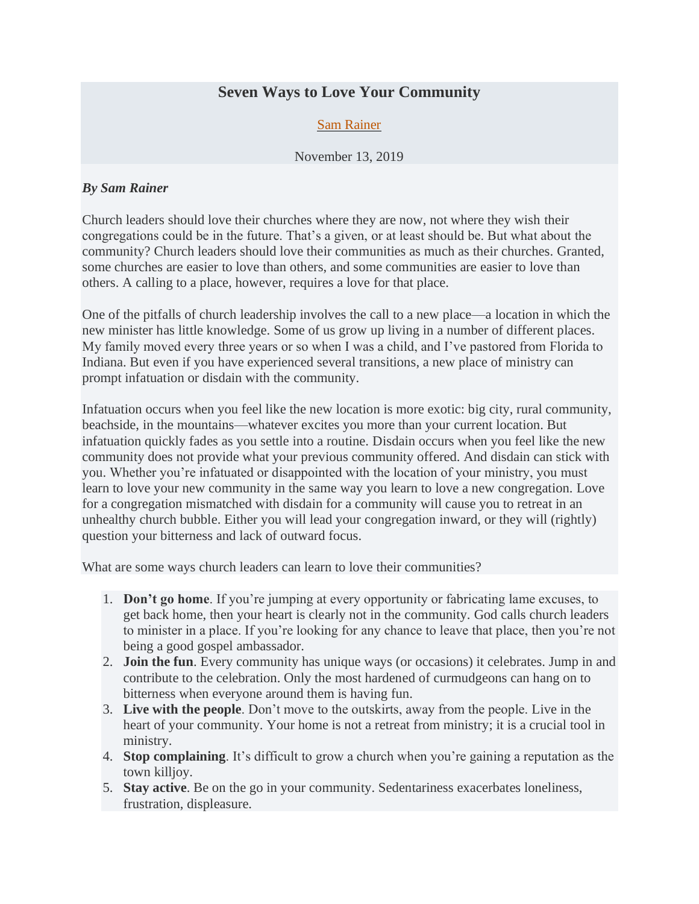## **Seven Ways to Love Your Community**

## [Sam Rainer](https://churchanswers.com/blog/author/samrainer/)

## November 13, 2019

## *By Sam Rainer*

Church leaders should love their churches where they are now, not where they wish their congregations could be in the future. That's a given, or at least should be. But what about the community? Church leaders should love their communities as much as their churches. Granted, some churches are easier to love than others, and some communities are easier to love than others. A calling to a place, however, requires a love for that place.

One of the pitfalls of church leadership involves the call to a new place—a location in which the new minister has little knowledge. Some of us grow up living in a number of different places. My family moved every three years or so when I was a child, and I've pastored from Florida to Indiana. But even if you have experienced several transitions, a new place of ministry can prompt infatuation or disdain with the community.

Infatuation occurs when you feel like the new location is more exotic: big city, rural community, beachside, in the mountains—whatever excites you more than your current location. But infatuation quickly fades as you settle into a routine. Disdain occurs when you feel like the new community does not provide what your previous community offered. And disdain can stick with you. Whether you're infatuated or disappointed with the location of your ministry, you must learn to love your new community in the same way you learn to love a new congregation. Love for a congregation mismatched with disdain for a community will cause you to retreat in an unhealthy church bubble. Either you will lead your congregation inward, or they will (rightly) question your bitterness and lack of outward focus.

What are some ways church leaders can learn to love their communities?

- 1. **Don't go home**. If you're jumping at every opportunity or fabricating lame excuses, to get back home, then your heart is clearly not in the community. God calls church leaders to minister in a place. If you're looking for any chance to leave that place, then you're not being a good gospel ambassador.
- 2. **Join the fun**. Every community has unique ways (or occasions) it celebrates. Jump in and contribute to the celebration. Only the most hardened of curmudgeons can hang on to bitterness when everyone around them is having fun.
- 3. **Live with the people**. Don't move to the outskirts, away from the people. Live in the heart of your community. Your home is not a retreat from ministry; it is a crucial tool in ministry.
- 4. **Stop complaining**. It's difficult to grow a church when you're gaining a reputation as the town killjoy.
- 5. **Stay active**. Be on the go in your community. Sedentariness exacerbates loneliness, frustration, displeasure.